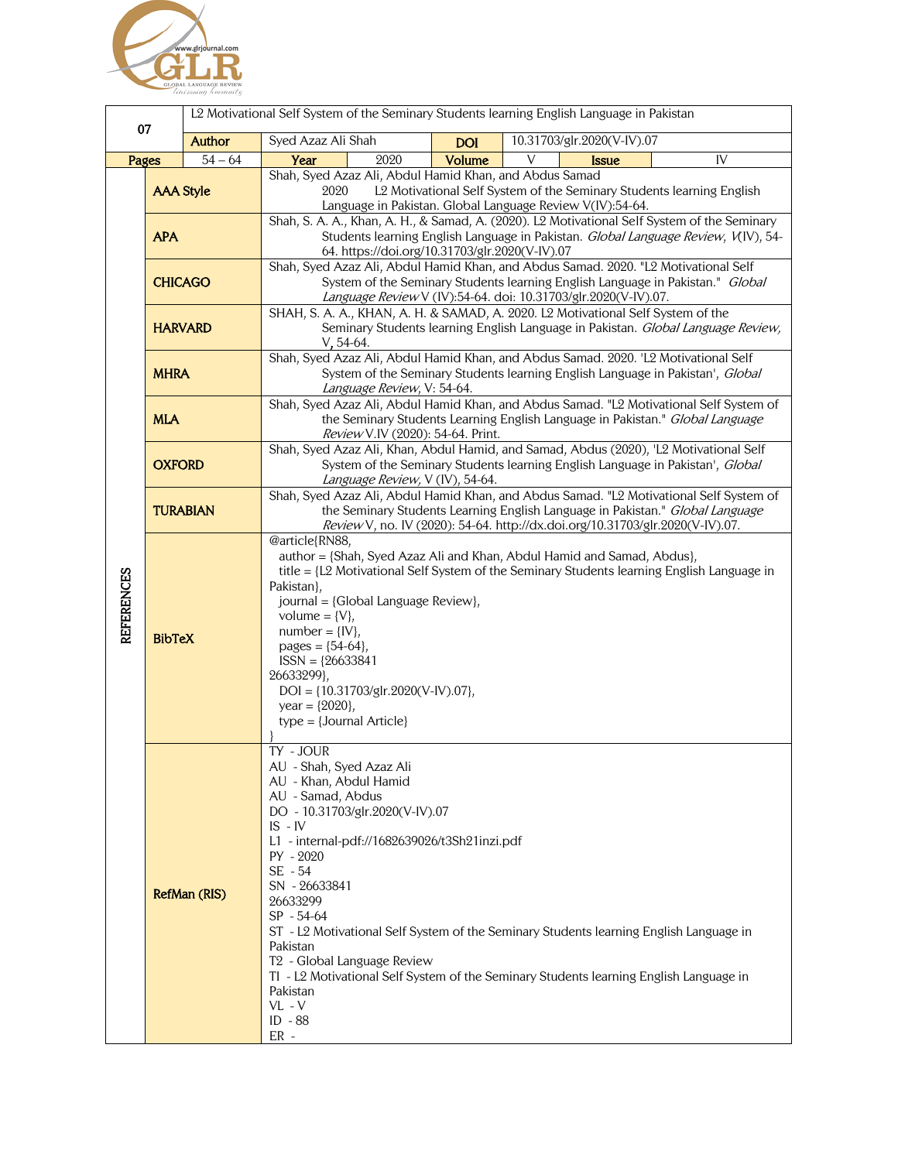

|                   |                  | L2 Motivational Self System of the Seminary Students learning English Language in Pakistan |                                                                                                                                                                                                                                                                                                                                                                                                                                                                                                                                                      |            |                            |    |
|-------------------|------------------|--------------------------------------------------------------------------------------------|------------------------------------------------------------------------------------------------------------------------------------------------------------------------------------------------------------------------------------------------------------------------------------------------------------------------------------------------------------------------------------------------------------------------------------------------------------------------------------------------------------------------------------------------------|------------|----------------------------|----|
| 07                |                  | Author                                                                                     | Syed Azaz Ali Shah                                                                                                                                                                                                                                                                                                                                                                                                                                                                                                                                   | <b>DOI</b> | 10.31703/glr.2020(V-IV).07 |    |
| Pages             |                  | $54 - 64$                                                                                  | Year<br>2020                                                                                                                                                                                                                                                                                                                                                                                                                                                                                                                                         | Volume     | V<br><b>Issue</b>          | IV |
|                   | <b>AAA Style</b> |                                                                                            | Shah, Syed Azaz Ali, Abdul Hamid Khan, and Abdus Samad<br>2020<br>L2 Motivational Self System of the Seminary Students learning English<br>Language in Pakistan. Global Language Review V(IV):54-64.                                                                                                                                                                                                                                                                                                                                                 |            |                            |    |
|                   | <b>APA</b>       |                                                                                            | Shah, S. A. A., Khan, A. H., & Samad, A. (2020). L2 Motivational Self System of the Seminary<br>Students learning English Language in Pakistan. Global Language Review, V(IV), 54-<br>64. https://doi.org/10.31703/glr.2020(V-IV).07                                                                                                                                                                                                                                                                                                                 |            |                            |    |
| <b>REFERENCES</b> | <b>CHICAGO</b>   |                                                                                            | Shah, Syed Azaz Ali, Abdul Hamid Khan, and Abdus Samad. 2020. "L2 Motivational Self<br>System of the Seminary Students learning English Language in Pakistan." Global<br>Language Review V (IV):54-64. doi: 10.31703/glr.2020(V-IV).07.                                                                                                                                                                                                                                                                                                              |            |                            |    |
|                   | <b>HARVARD</b>   |                                                                                            | SHAH, S. A. A., KHAN, A. H. & SAMAD, A. 2020. L2 Motivational Self System of the<br>Seminary Students learning English Language in Pakistan. Global Language Review,<br>$V, 54-64.$                                                                                                                                                                                                                                                                                                                                                                  |            |                            |    |
|                   | <b>MHRA</b>      |                                                                                            | Shah, Syed Azaz Ali, Abdul Hamid Khan, and Abdus Samad. 2020. 'L2 Motivational Self<br>System of the Seminary Students learning English Language in Pakistan', Global<br>Language Review, V: 54-64.                                                                                                                                                                                                                                                                                                                                                  |            |                            |    |
|                   | <b>MLA</b>       |                                                                                            | Shah, Syed Azaz Ali, Abdul Hamid Khan, and Abdus Samad. "L2 Motivational Self System of<br>the Seminary Students Learning English Language in Pakistan." Global Language<br>Review V.IV (2020): 54-64. Print.                                                                                                                                                                                                                                                                                                                                        |            |                            |    |
|                   | <b>OXFORD</b>    |                                                                                            | Shah, Syed Azaz Ali, Khan, Abdul Hamid, and Samad, Abdus (2020), 'L2 Motivational Self<br>System of the Seminary Students learning English Language in Pakistan', Global<br>Language Review, V (IV), 54-64.                                                                                                                                                                                                                                                                                                                                          |            |                            |    |
|                   | <b>TURABIAN</b>  |                                                                                            | Shah, Syed Azaz Ali, Abdul Hamid Khan, and Abdus Samad. "L2 Motivational Self System of<br>the Seminary Students Learning English Language in Pakistan." Global Language<br>Review V, no. IV (2020): 54-64. http://dx.doi.org/10.31703/glr.2020(V-IV).07.                                                                                                                                                                                                                                                                                            |            |                            |    |
|                   | <b>BibTeX</b>    |                                                                                            | @article{RN88,<br>author = {Shah, Syed Azaz Ali and Khan, Abdul Hamid and Samad, Abdus},<br>title = {L2 Motivational Self System of the Seminary Students learning English Language in<br>Pakistan},<br>journal = {Global Language Review},<br>volume = $\{V\}$ ,<br>$number = \{IV\},$<br>pages = ${54-64}$ ,<br>$ISSN = {26633841}$<br>26633299},<br>$DOI = \{10.31703/glr.2020(V-IV).07\},\$<br>year = ${2020}$ ,<br>type = {Journal Article}                                                                                                     |            |                            |    |
|                   | RefMan (RIS)     |                                                                                            | TY - JOUR<br>AU - Shah, Syed Azaz Ali<br>AU - Khan, Abdul Hamid<br>AU - Samad, Abdus<br>DO - 10.31703/glr.2020(V-IV).07<br>$IS$ - $IV$<br>L1 - internal-pdf://1682639026/t3Sh21inzi.pdf<br>PY - 2020<br>SE - 54<br>SN - 26633841<br>26633299<br>$SP - 54-64$<br>ST - L2 Motivational Self System of the Seminary Students learning English Language in<br>Pakistan<br>T <sub>2</sub> - Global Language Review<br>TI - L2 Motivational Self System of the Seminary Students learning English Language in<br>Pakistan<br>$VL - V$<br>ID - 88<br>$ER -$ |            |                            |    |